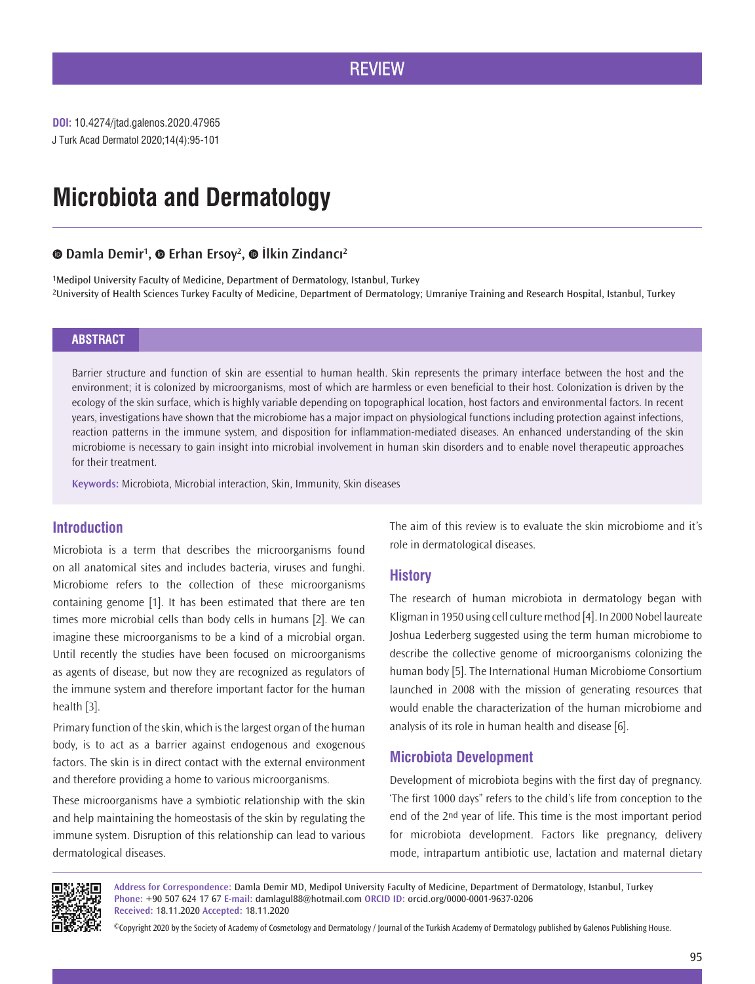J Turk Acad Dermatol 2020;14(4):95-101 **DOI:** 10.4274/jtad.galenos.2020.47965

# **Microbiota and Dermatology**

# **Damla Demir1 ,Erhan Ersoy2 ,İlkin Zindancı<sup>2</sup>**

1Medipol University Faculty of Medicine, Department of Dermatology, Istanbul, Turkey 2University of Health Sciences Turkey Faculty of Medicine, Department of Dermatology; Umraniye Training and Research Hospital, Istanbul, Turkey

### **ABSTRACT**

Barrier structure and function of skin are essential to human health. Skin represents the primary interface between the host and the environment; it is colonized by microorganisms, most of which are harmless or even beneficial to their host. Colonization is driven by the ecology of the skin surface, which is highly variable depending on topographical location, host factors and environmental factors. In recent years, investigations have shown that the microbiome has a major impact on physiological functions including protection against infections, reaction patterns in the immune system, and disposition for inflammation-mediated diseases. An enhanced understanding of the skin microbiome is necessary to gain insight into microbial involvement in human skin disorders and to enable novel therapeutic approaches for their treatment.

**Keywords:** Microbiota, Microbial interaction, Skin, Immunity, Skin diseases

# **Introduction**

Microbiota is a term that describes the microorganisms found on all anatomical sites and includes bacteria, viruses and funghi. Microbiome refers to the collection of these microorganisms containing genome [1]. It has been estimated that there are ten times more microbial cells than body cells in humans [2]. We can imagine these microorganisms to be a kind of a microbial organ. Until recently the studies have been focused on microorganisms as agents of disease, but now they are recognized as regulators of the immune system and therefore important factor for the human health [3].

Primary function of the skin, which is the largest organ of the human body, is to act as a barrier against endogenous and exogenous factors. The skin is in direct contact with the external environment and therefore providing a home to various microorganisms.

These microorganisms have a symbiotic relationship with the skin and help maintaining the homeostasis of the skin by regulating the immune system. Disruption of this relationship can lead to various dermatological diseases.

The aim of this review is to evaluate the skin microbiome and it's role in dermatological diseases.

### **History**

The research of human microbiota in dermatology began with Kligman in 1950 using cell culture method [4]. In 2000 Nobel laureate Joshua Lederberg suggested using the term human microbiome to describe the collective genome of microorganisms colonizing the human body [5]. The International Human Microbiome Consortium launched in 2008 with the mission of generating resources that would enable the characterization of the human microbiome and analysis of its role in human health and disease [6].

# **Microbiota Development**

Development of microbiota begins with the first day of pregnancy. 'The first 1000 days" refers to the child's life from conception to the end of the 2nd year of life. This time is the most important period for microbiota development. Factors like pregnancy, delivery mode, intrapartum antibiotic use, lactation and maternal dietary



**Address for Correspondence:** Damla Demir MD, Medipol University Faculty of Medicine, Department of Dermatology, Istanbul, Turkey **Phone:** +90 507 624 17 67 **E-mail:** damlagul88@hotmail.com **ORCID ID:** orcid.org/0000-0001-9637-0206 **Received:** 18.11.2020 **Accepted:** 18.11.2020

©Copyright 2020 by the Society of Academy of Cosmetology and Dermatology / Journal of the Turkish Academy of Dermatology published by Galenos Publishing House.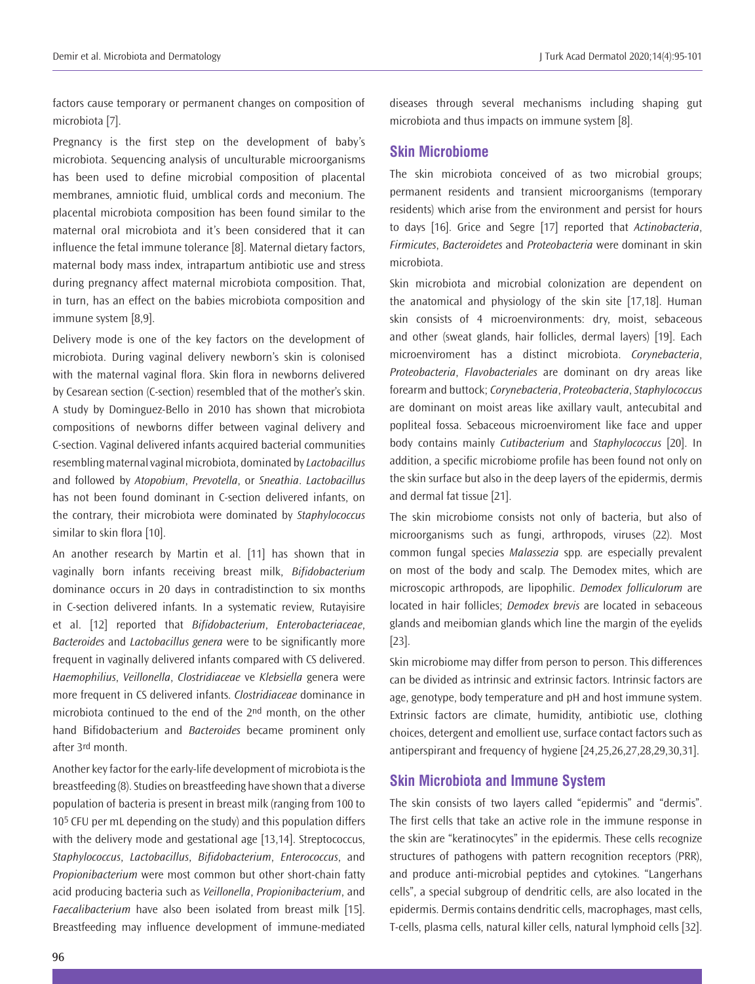factors cause temporary or permanent changes on composition of microbiota [7].

Pregnancy is the first step on the development of baby's microbiota. Sequencing analysis of unculturable microorganisms has been used to define microbial composition of placental membranes, amniotic fluid, umblical cords and meconium. The placental microbiota composition has been found similar to the maternal oral microbiota and it's been considered that it can influence the fetal immune tolerance [8]. Maternal dietary factors, maternal body mass index, intrapartum antibiotic use and stress during pregnancy affect maternal microbiota composition. That, in turn, has an effect on the babies microbiota composition and immune system [8,9].

Delivery mode is one of the key factors on the development of microbiota. During vaginal delivery newborn's skin is colonised with the maternal vaginal flora. Skin flora in newborns delivered by Cesarean section (C-section) resembled that of the mother's skin. A study by Dominguez-Bello in 2010 has shown that microbiota compositions of newborns differ between vaginal delivery and C-section. Vaginal delivered infants acquired bacterial communities resembling maternal vaginal microbiota, dominated by *Lactobacillus* and followed by *Atopobium*, *Prevotella*, or *Sneathia*. *Lactobacillus*  has not been found dominant in C-section delivered infants, on the contrary, their microbiota were dominated by *Staphylococcus* similar to skin flora [10].

An another research by Martin et al. [11] has shown that in vaginally born infants receiving breast milk, *Bifidobacterium* dominance occurs in 20 days in contradistinction to six months in C-section delivered infants. In a systematic review, Rutayisire et al. [12] reported that *Bifidobacterium*, *Enterobacteriaceae*, *Bacteroides* and *Lactobacillus genera* were to be significantly more frequent in vaginally delivered infants compared with CS delivered. *Haemophilius*, *Veillonella*, *Clostridiaceae* ve *Klebsiella* genera were more frequent in CS delivered infants. *Clostridiaceae* dominance in microbiota continued to the end of the 2<sup>nd</sup> month, on the other hand Bifidobacterium and *Bacteroides* became prominent only after 3rd month.

Another key factor for the early-life development of microbiota is the breastfeeding (8). Studies on breastfeeding have shown that a diverse population of bacteria is present in breast milk (ranging from 100 to 105 CFU per mL depending on the study) and this population differs with the delivery mode and gestational age [13,14]. Streptococcus, *Staphylococcus*, *Lactobacillus*, *Bifidobacterium*, *Enterococcus*, and *Propionibacterium* were most common but other short-chain fatty acid producing bacteria such as *Veillonella*, *Propionibacterium*, and *Faecalibacterium* have also been isolated from breast milk [15]. Breastfeeding may influence development of immune-mediated

diseases through several mechanisms including shaping gut microbiota and thus impacts on immune system [8].

# **Skin Microbiome**

The skin microbiota conceived of as two microbial groups; permanent residents and transient microorganisms (temporary residents) which arise from the environment and persist for hours to days [16]. Grice and Segre [17] reported that *Actinobacteria*, *Firmicutes*, *Bacteroidetes* and *Proteobacteria* were dominant in skin microbiota.

Skin microbiota and microbial colonization are dependent on the anatomical and physiology of the skin site [17,18]. Human skin consists of 4 microenvironments: dry, moist, sebaceous and other (sweat glands, hair follicles, dermal layers) [19]. Each microenviroment has a distinct microbiota. *Corynebacteria*, *Proteobacteria*, *Flavobacteriales* are dominant on dry areas like forearm and buttock; *Corynebacteria*, *Proteobacteria*, *Staphylococcus* are dominant on moist areas like axillary vault, antecubital and popliteal fossa. Sebaceous microenviroment like face and upper body contains mainly *Cutibacterium* and *Staphylococcus* [20]. In addition, a specific microbiome profile has been found not only on the skin surface but also in the deep layers of the epidermis, dermis and dermal fat tissue [21].

The skin microbiome consists not only of bacteria, but also of microorganisms such as fungi, arthropods, viruses (22). Most common fungal species *Malassezia* spp. are especially prevalent on most of the body and scalp. The Demodex mites, which are microscopic arthropods, are lipophilic. *Demodex folliculorum* are located in hair follicles; *Demodex brevis* are located in sebaceous glands and meibomian glands which line the margin of the eyelids [23].

Skin microbiome may differ from person to person. This differences can be divided as intrinsic and extrinsic factors. Intrinsic factors are age, genotype, body temperature and pH and host immune system. Extrinsic factors are climate, humidity, antibiotic use, clothing choices, detergent and emollient use, surface contact factors such as antiperspirant and frequency of hygiene [24,25,26,27,28,29,30,31].

# **Skin Microbiota and Immune System**

The skin consists of two layers called "epidermis" and "dermis". The first cells that take an active role in the immune response in the skin are "keratinocytes" in the epidermis. These cells recognize structures of pathogens with pattern recognition receptors (PRR), and produce anti-microbial peptides and cytokines. "Langerhans cells", a special subgroup of dendritic cells, are also located in the epidermis. Dermis contains dendritic cells, macrophages, mast cells, T-cells, plasma cells, natural killer cells, natural lymphoid cells [32].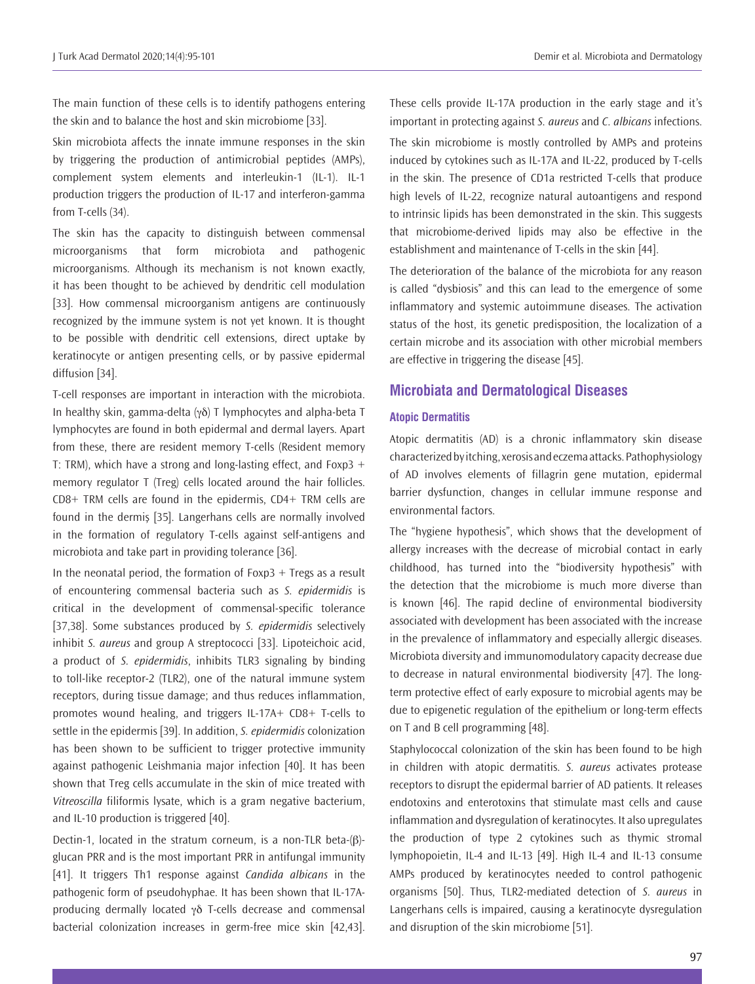The main function of these cells is to identify pathogens entering the skin and to balance the host and skin microbiome [33].

Skin microbiota affects the innate immune responses in the skin by triggering the production of antimicrobial peptides (AMPs), complement system elements and interleukin-1 (IL-1). IL-1 production triggers the production of IL-17 and interferon-gamma from T-cells (34).

The skin has the capacity to distinguish between commensal microorganisms that form microbiota and pathogenic microorganisms. Although its mechanism is not known exactly, it has been thought to be achieved by dendritic cell modulation [33]. How commensal microorganism antigens are continuously recognized by the immune system is not yet known. It is thought to be possible with dendritic cell extensions, direct uptake by keratinocyte or antigen presenting cells, or by passive epidermal diffusion [34].

T-cell responses are important in interaction with the microbiota. In healthy skin, gamma-delta (γδ) T lymphocytes and alpha-beta T lymphocytes are found in both epidermal and dermal layers. Apart from these, there are resident memory T-cells (Resident memory T: TRM), which have a strong and long-lasting effect, and Foxp3  $+$ memory regulator T (Treg) cells located around the hair follicles. CD8+ TRM cells are found in the epidermis, CD4+ TRM cells are found in the dermiş [35]. Langerhans cells are normally involved in the formation of regulatory T-cells against self-antigens and microbiota and take part in providing tolerance [36].

In the neonatal period, the formation of  $F\alpha p3 + T \gamma qs$  as a result of encountering commensal bacteria such as *S. epidermidis* is critical in the development of commensal-specific tolerance [37,38]. Some substances produced by *S. epidermidis* selectively inhibit *S. aureus* and group A streptococci [33]. Lipoteichoic acid, a product of *S. epidermidis*, inhibits TLR3 signaling by binding to toll-like receptor-2 (TLR2), one of the natural immune system receptors, during tissue damage; and thus reduces inflammation, promotes wound healing, and triggers IL-17A+ CD8+ T-cells to settle in the epidermis [39]. In addition, *S. epidermidis* colonization has been shown to be sufficient to trigger protective immunity against pathogenic Leishmania major infection [40]. It has been shown that Treg cells accumulate in the skin of mice treated with *Vitreoscilla* filiformis lysate, which is a gram negative bacterium, and IL-10 production is triggered [40].

Dectin-1, located in the stratum corneum, is a non-TLR beta-(β) glucan PRR and is the most important PRR in antifungal immunity [41]. It triggers Th1 response against *Candida albicans* in the pathogenic form of pseudohyphae. It has been shown that IL-17Aproducing dermally located γδ T-cells decrease and commensal bacterial colonization increases in germ-free mice skin [42,43].

These cells provide IL-17A production in the early stage and it's important in protecting against *S. aureus* and *C. albicans* infections. The skin microbiome is mostly controlled by AMPs and proteins induced by cytokines such as IL-17A and IL-22, produced by T-cells in the skin. The presence of CD1a restricted T-cells that produce high levels of IL-22, recognize natural autoantigens and respond to intrinsic lipids has been demonstrated in the skin. This suggests that microbiome-derived lipids may also be effective in the establishment and maintenance of T-cells in the skin [44].

The deterioration of the balance of the microbiota for any reason is called "dysbiosis" and this can lead to the emergence of some inflammatory and systemic autoimmune diseases. The activation status of the host, its genetic predisposition, the localization of a certain microbe and its association with other microbial members are effective in triggering the disease [45].

## **Microbiata and Dermatological Diseases**

## **Atopic Dermatitis**

Atopic dermatitis (AD) is a chronic inflammatory skin disease characterized by itching, xerosis and eczema attacks. Pathophysiology of AD involves elements of fillagrin gene mutation, epidermal barrier dysfunction, changes in cellular immune response and environmental factors.

The "hygiene hypothesis", which shows that the development of allergy increases with the decrease of microbial contact in early childhood, has turned into the "biodiversity hypothesis" with the detection that the microbiome is much more diverse than is known [46]. The rapid decline of environmental biodiversity associated with development has been associated with the increase in the prevalence of inflammatory and especially allergic diseases. Microbiota diversity and immunomodulatory capacity decrease due to decrease in natural environmental biodiversity [47]. The longterm protective effect of early exposure to microbial agents may be due to epigenetic regulation of the epithelium or long-term effects on T and B cell programming [48].

Staphylococcal colonization of the skin has been found to be high in children with atopic dermatitis. *S. aureus* activates protease receptors to disrupt the epidermal barrier of AD patients. It releases endotoxins and enterotoxins that stimulate mast cells and cause inflammation and dysregulation of keratinocytes. It also upregulates the production of type 2 cytokines such as thymic stromal lymphopoietin, IL-4 and IL-13 [49]. High IL-4 and IL-13 consume AMPs produced by keratinocytes needed to control pathogenic organisms [50]. Thus, TLR2-mediated detection of *S. aureus* in Langerhans cells is impaired, causing a keratinocyte dysregulation and disruption of the skin microbiome [51].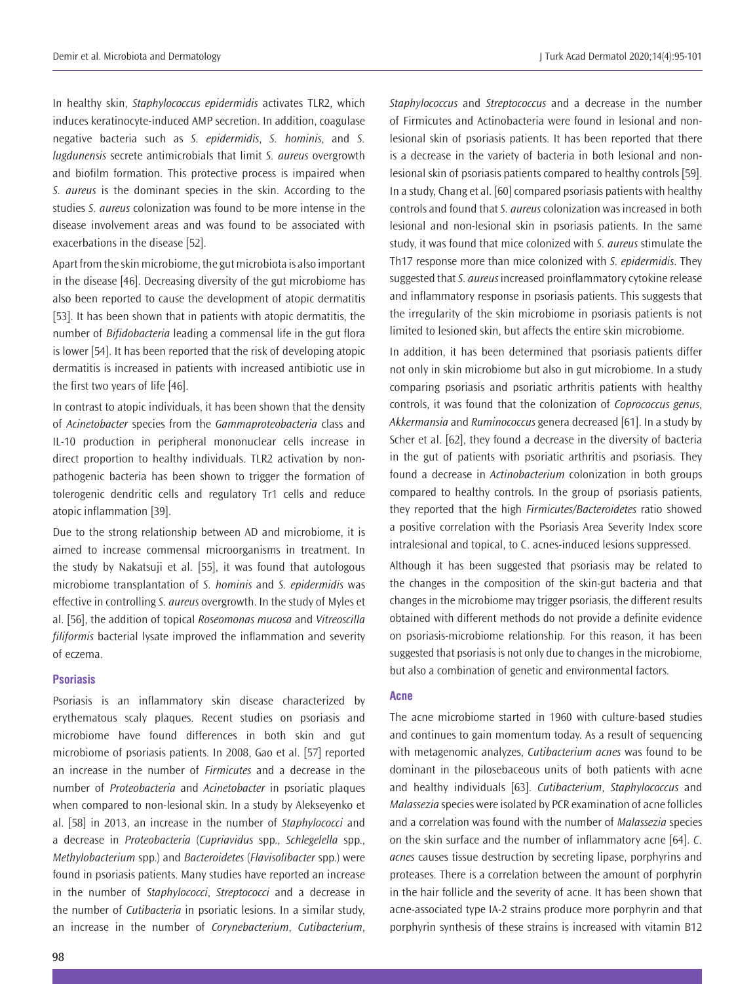In healthy skin, *Staphylococcus epidermidis* activates TLR2, which induces keratinocyte-induced AMP secretion. In addition, coagulase negative bacteria such as *S. epidermidis*, *S. hominis*, and *S. lugdunensis* secrete antimicrobials that limit *S. aureus* overgrowth and biofilm formation. This protective process is impaired when *S. aureus* is the dominant species in the skin. According to the studies *S. aureus* colonization was found to be more intense in the disease involvement areas and was found to be associated with exacerbations in the disease [52].

Apart from the skin microbiome, the gut microbiota is also important in the disease [46]. Decreasing diversity of the gut microbiome has also been reported to cause the development of atopic dermatitis [53]. It has been shown that in patients with atopic dermatitis, the number of *Bifidobacteria* leading a commensal life in the gut flora is lower [54]. It has been reported that the risk of developing atopic dermatitis is increased in patients with increased antibiotic use in the first two years of life [46].

In contrast to atopic individuals, it has been shown that the density of *Acinetobacter* species from the *Gammaproteobacteria* class and IL-10 production in peripheral mononuclear cells increase in direct proportion to healthy individuals. TLR2 activation by nonpathogenic bacteria has been shown to trigger the formation of tolerogenic dendritic cells and regulatory Tr1 cells and reduce atopic inflammation [39].

Due to the strong relationship between AD and microbiome, it is aimed to increase commensal microorganisms in treatment. In the study by Nakatsuji et al. [55], it was found that autologous microbiome transplantation of *S. hominis* and *S. epidermidis* was effective in controlling *S. aureus* overgrowth. In the study of Myles et al. [56], the addition of topical *Roseomonas mucosa* and *Vitreoscilla filiformis* bacterial lysate improved the inflammation and severity of eczema.

#### **Psoriasis**

Psoriasis is an inflammatory skin disease characterized by erythematous scaly plaques. Recent studies on psoriasis and microbiome have found differences in both skin and gut microbiome of psoriasis patients. In 2008, Gao et al. [57] reported an increase in the number of *Firmicutes* and a decrease in the number of *Proteobacteria* and *Acinetobacter* in psoriatic plaques when compared to non-lesional skin. In a study by Alekseyenko et al. [58] in 2013, an increase in the number of *Staphylococci* and a decrease in *Proteobacteria* (*Cupriavidus* spp., *Schlegelella* spp., *Methylobacterium* spp.) and *Bacteroidetes* (*Flavisolibacter* spp.) were found in psoriasis patients. Many studies have reported an increase in the number of *Staphylococci*, *Streptococci* and a decrease in the number of *Cutibacteria* in psoriatic lesions. In a similar study, an increase in the number of *Corynebacterium*, *Cutibacterium*,

*Staphylococcus* and *Streptococcus* and a decrease in the number of Firmicutes and Actinobacteria were found in lesional and nonlesional skin of psoriasis patients. It has been reported that there is a decrease in the variety of bacteria in both lesional and nonlesional skin of psoriasis patients compared to healthy controls [59]. In a study, Chang et al. [60] compared psoriasis patients with healthy controls and found that *S. aureus* colonization was increased in both lesional and non-lesional skin in psoriasis patients. In the same study, it was found that mice colonized with *S. aureus* stimulate the Th17 response more than mice colonized with *S. epidermidis*. They suggested that *S. aureus* increased proinflammatory cytokine release and inflammatory response in psoriasis patients. This suggests that the irregularity of the skin microbiome in psoriasis patients is not limited to lesioned skin, but affects the entire skin microbiome.

In addition, it has been determined that psoriasis patients differ not only in skin microbiome but also in gut microbiome. In a study comparing psoriasis and psoriatic arthritis patients with healthy controls, it was found that the colonization of *Coprococcus genus*, *Akkermansia* and *Ruminococcus* genera decreased [61]. In a study by Scher et al. [62], they found a decrease in the diversity of bacteria in the gut of patients with psoriatic arthritis and psoriasis. They found a decrease in *Actinobacterium* colonization in both groups compared to healthy controls. In the group of psoriasis patients, they reported that the high *Firmicutes/Bacteroidetes* ratio showed a positive correlation with the Psoriasis Area Severity Index score intralesional and topical, to C. acnes-induced lesions suppressed.

Although it has been suggested that psoriasis may be related to the changes in the composition of the skin-gut bacteria and that changes in the microbiome may trigger psoriasis, the different results obtained with different methods do not provide a definite evidence on psoriasis-microbiome relationship. For this reason, it has been suggested that psoriasis is not only due to changes in the microbiome, but also a combination of genetic and environmental factors.

#### **Acne**

The acne microbiome started in 1960 with culture-based studies and continues to gain momentum today. As a result of sequencing with metagenomic analyzes, *Cutibacterium acnes* was found to be dominant in the pilosebaceous units of both patients with acne and healthy individuals [63]. *Cutibacterium*, *Staphylococcus* and *Malassezia* species were isolated by PCR examination of acne follicles and a correlation was found with the number of *Malassezia* species on the skin surface and the number of inflammatory acne [64]. *C. acnes* causes tissue destruction by secreting lipase, porphyrins and proteases. There is a correlation between the amount of porphyrin in the hair follicle and the severity of acne. It has been shown that acne-associated type IA-2 strains produce more porphyrin and that porphyrin synthesis of these strains is increased with vitamin B12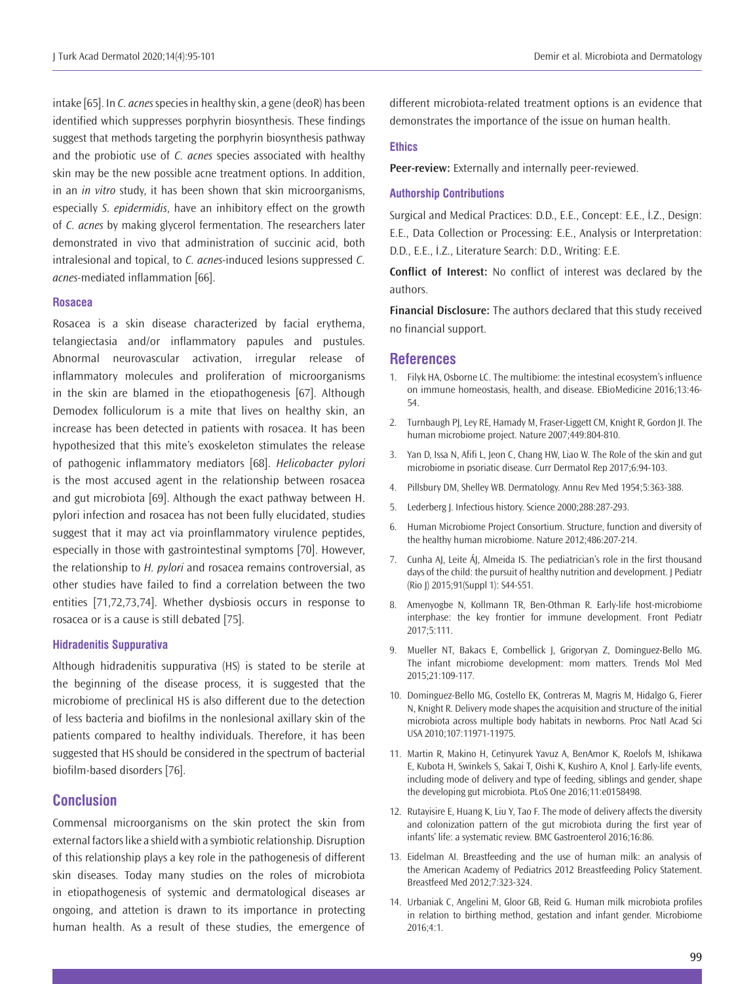intake [65]. In *C. acnes* species in healthy skin, a gene (deoR) has been identified which suppresses porphyrin biosynthesis. These findings suggest that methods targeting the porphyrin biosynthesis pathway and the probiotic use of *C. acnes* species associated with healthy skin may be the new possible acne treatment options. In addition, in an *in vitro* study, it has been shown that skin microorganisms, especially *S. epidermidis*, have an inhibitory effect on the growth of *C. acnes* by making glycerol fermentation. The researchers later demonstrated in vivo that administration of succinic acid, both intralesional and topical, to *C. acnes*-induced lesions suppressed *C. acnes*-mediated inflammation [66].

#### **Rosacea**

Rosacea is a skin disease characterized by facial erythema, telangiectasia and/or inflammatory papules and pustules. Abnormal neurovascular activation, irregular release of inflammatory molecules and proliferation of microorganisms in the skin are blamed in the etiopathogenesis [67]. Although Demodex folliculorum is a mite that lives on healthy skin, an increase has been detected in patients with rosacea. It has been hypothesized that this mite's exoskeleton stimulates the release of pathogenic inflammatory mediators [68]. *Helicobacter pylori*  is the most accused agent in the relationship between rosacea and gut microbiota [69]. Although the exact pathway between H. pylori infection and rosacea has not been fully elucidated, studies suggest that it may act via proinflammatory virulence peptides, especially in those with gastrointestinal symptoms [70]. However, the relationship to *H. pylori* and rosacea remains controversial, as other studies have failed to find a correlation between the two entities [71,72,73,74]. Whether dysbiosis occurs in response to rosacea or is a cause is still debated [75].

#### **Hidradenitis Suppurativa**

Although hidradenitis suppurativa (HS) is stated to be sterile at the beginning of the disease process, it is suggested that the microbiome of preclinical HS is also different due to the detection of less bacteria and biofilms in the nonlesional axillary skin of the patients compared to healthy individuals. Therefore, it has been suggested that HS should be considered in the spectrum of bacterial biofilm-based disorders [76].

## **Conclusion**

Commensal microorganisms on the skin protect the skin from external factors like a shield with a symbiotic relationship. Disruption of this relationship plays a key role in the pathogenesis of different skin diseases. Today many studies on the roles of microbiota in etiopathogenesis of systemic and dermatological diseases ar ongoing, and attetion is drawn to its importance in protecting human health. As a result of these studies, the emergence of

different microbiota-related treatment options is an evidence that demonstrates the importance of the issue on human health.

#### **Ethics**

**Peer-review:** Externally and internally peer-reviewed.

### **Authorship Contributions**

Surgical and Medical Practices: D.D., E.E., Concept: E.E., İ.Z., Design: E.E., Data Collection or Processing: E.E., Analysis or Interpretation: D.D., E.E., İ.Z., Literature Search: D.D., Writing: E.E.

**Conflict of Interest:** No conflict of interest was declared by the authors.

**Financial Disclosure:** The authors declared that this study received no financial support.

#### **References**

- 1. Filyk HA, Osborne LC. The multibiome: the intestinal ecosystem's influence on immune homeostasis, health, and disease. EBioMedicine 2016;13:46- 54.
- 2. Turnbaugh PJ, Ley RE, Hamady M, Fraser-Liggett CM, Knight R, Gordon JI. The human microbiome project. Nature 2007;449:804-810.
- 3. Yan D, Issa N, Afifi L, Jeon C, Chang HW, Liao W. The Role of the skin and gut microbiome in psoriatic disease. Curr Dermatol Rep 2017;6:94-103.
- 4. Pillsbury DM, Shelley WB. Dermatology. Annu Rev Med 1954;5:363-388.
- 5. Lederberg J. Infectious history. Science 2000;288:287-293.
- 6. Human Microbiome Project Consortium. Structure, function and diversity of the healthy human microbiome. Nature 2012;486:207-214.
- 7. Cunha AJ, Leite ÁJ, Almeida IS. The pediatrician's role in the first thousand days of the child: the pursuit of healthy nutrition and development. J Pediatr (Rio J) 2015;91(Suppl 1): S44-S51.
- 8. Amenyogbe N, Kollmann TR, Ben-Othman R. Early-life host-microbiome interphase: the key frontier for immune development. Front Pediatr 2017;5:111.
- 9. Mueller NT, Bakacs E, Combellick J, Grigoryan Z, Dominguez-Bello MG. The infant microbiome development: mom matters. Trends Mol Med 2015;21:109-117.
- 10. Dominguez-Bello MG, Costello EK, Contreras M, Magris M, Hidalgo G, Fierer N, Knight R. Delivery mode shapes the acquisition and structure of the initial microbiota across multiple body habitats in newborns. Proc Natl Acad Sci USA 2010;107:11971-11975.
- 11. Martin R, Makino H, Cetinyurek Yavuz A, BenAmor K, Roelofs M, Ishikawa E, Kubota H, Swinkels S, Sakai T, Oishi K, Kushiro A, Knol J. Early-life events, including mode of delivery and type of feeding, siblings and gender, shape the developing gut microbiota. PLoS One 2016;11:e0158498.
- 12. Rutayisire E, Huang K, Liu Y, Tao F. The mode of delivery affects the diversity and colonization pattern of the gut microbiota during the first year of infants' life: a systematic review. BMC Gastroenterol 2016;16:86.
- 13. Eidelman AI. Breastfeeding and the use of human milk: an analysis of the American Academy of Pediatrics 2012 Breastfeeding Policy Statement. Breastfeed Med 2012;7:323-324.
- 14. Urbaniak C, Angelini M, Gloor GB, Reid G. Human milk microbiota profiles in relation to birthing method, gestation and infant gender. Microbiome 2016;4:1.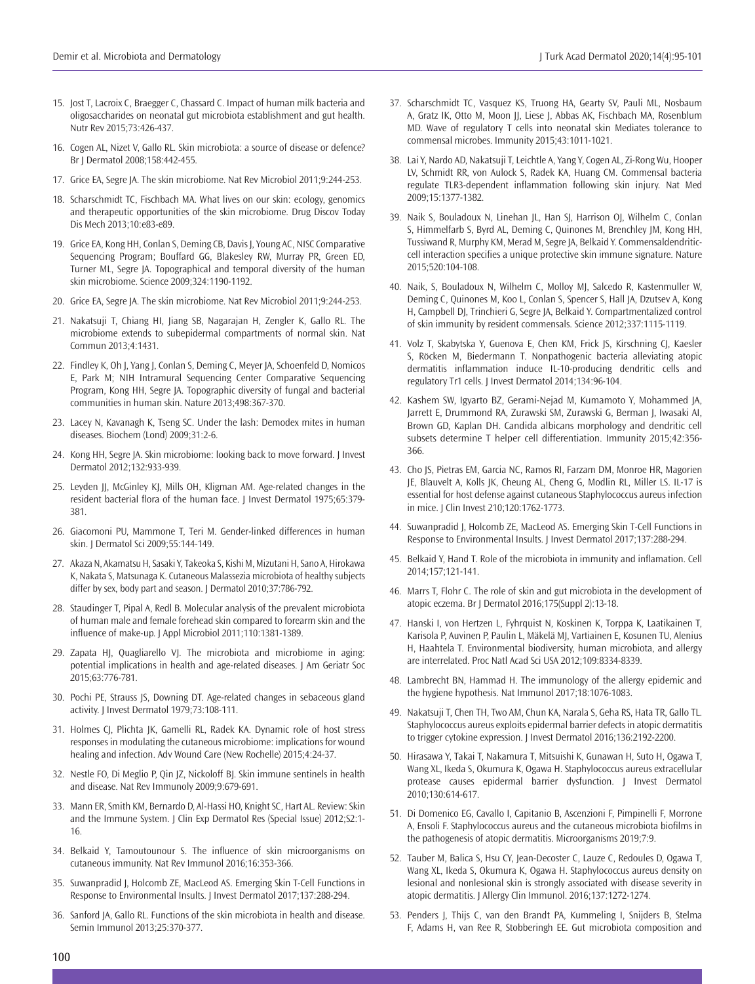- 15. Jost T, Lacroix C, Braegger C, Chassard C. Impact of human milk bacteria and oligosaccharides on neonatal gut microbiota establishment and gut health. Nutr Rev 2015;73:426-437.
- 16. Cogen AL, Nizet V, Gallo RL. Skin microbiota: a source of disease or defence? Br J Dermatol 2008;158:442-455.
- 17. Grice EA, Segre JA. The skin microbiome. Nat Rev Microbiol 2011;9:244-253.
- 18. Scharschmidt TC, Fischbach MA. What lives on our skin: ecology, genomics and therapeutic opportunities of the skin microbiome. Drug Discov Today Dis Mech 2013;10:e83-e89.
- 19. Grice EA, Kong HH, Conlan S, Deming CB, Davis J, Young AC, NISC Comparative Sequencing Program; Bouffard GG, Blakesley RW, Murray PR, Green ED, Turner ML, Segre JA. Topographical and temporal diversity of the human skin microbiome. Science 2009;324:1190-1192.
- 20. Grice EA, Segre JA. The skin microbiome. Nat Rev Microbiol 2011;9:244-253.
- 21. Nakatsuji T, Chiang HI, Jiang SB, Nagarajan H, Zengler K, Gallo RL. The microbiome extends to subepidermal compartments of normal skin. Nat Commun 2013;4:1431.
- 22. Findley K, Oh J, Yang J, Conlan S, Deming C, Meyer JA, Schoenfeld D, Nomicos E, Park M; NIH Intramural Sequencing Center Comparative Sequencing Program, Kong HH, Segre JA. Topographic diversity of fungal and bacterial communities in human skin. Nature 2013;498:367-370.
- 23. Lacey N, Kavanagh K, Tseng SC. Under the lash: Demodex mites in human diseases. Biochem (Lond) 2009;31:2-6.
- 24. Kong HH, Segre JA. Skin microbiome: looking back to move forward. J Invest Dermatol 2012;132:933-939.
- 25. Leyden JJ, McGinley KJ, Mills OH, Kligman AM. Age-related changes in the resident bacterial flora of the human face. | Invest Dermatol 1975;65:379-381.
- 26. Giacomoni PU, Mammone T, Teri M. Gender‐linked differences in human skin. J Dermatol Sci 2009;55:144-149.
- 27. Akaza N, Akamatsu H, Sasaki Y, Takeoka S, Kishi M, Mizutani H, Sano A, Hirokawa K, Nakata S, Matsunaga K. Cutaneous Malassezia microbiota of healthy subjects differ by sex, body part and season. J Dermatol 2010;37:786-792.
- 28. Staudinger T, Pipal A, Redl B. Molecular analysis of the prevalent microbiota of human male and female forehead skin compared to forearm skin and the influence of make‐up. J Appl Microbiol 2011;110:1381-1389.
- 29. Zapata HJ, Quagliarello VJ. The microbiota and microbiome in aging: potential implications in health and age-related diseases. J Am Geriatr Soc 2015;63:776-781.
- 30. Pochi PE, Strauss JS, Downing DT. Age-related changes in sebaceous gland activity. J Invest Dermatol 1979;73:108-111.
- 31. Holmes CJ, Plichta JK, Gamelli RL, Radek KA. Dynamic role of host stress responses in modulating the cutaneous microbiome: implications for wound healing and infection. Adv Wound Care (New Rochelle) 2015;4:24-37.
- 32. Nestle FO, Di Meglio P, Qin JZ, Nickoloff BJ. Skin immune sentinels in health and disease. Nat Rev Immunoly 2009;9:679-691.
- 33. Mann ER, Smith KM, Bernardo D, Al-Hassi HO, Knight SC, Hart AL. Review: Skin and the Immune System. J Clin Exp Dermatol Res (Special Issue) 2012;S2:1- 16.
- 34. Belkaid Y, Tamoutounour S. The influence of skin microorganisms on cutaneous immunity. Nat Rev Immunol 2016;16:353-366.
- 35. Suwanpradid J, Holcomb ZE, MacLeod AS. Emerging Skin T-Cell Functions in Response to Environmental Insults. J Invest Dermatol 2017;137:288-294.
- 36. Sanford JA, Gallo RL. Functions of the skin microbiota in health and disease. Semin Immunol 2013;25:370-377.
- 37. Scharschmidt TC, Vasquez KS, Truong HA, Gearty SV, Pauli ML, Nosbaum A, Gratz IK, Otto M, Moon JJ, Liese J, Abbas AK, Fischbach MA, Rosenblum MD. Wave of regulatory T cells into neonatal skin Mediates tolerance to commensal microbes. Immunity 2015;43:1011-1021.
- 38. Lai Y, Nardo AD, Nakatsuji T, Leichtle A, Yang Y, Cogen AL, Zi-Rong Wu, Hooper LV, Schmidt RR, von Aulock S, Radek KA, Huang CM. Commensal bacteria regulate TLR3-dependent inflammation following skin injury. Nat Med 2009;15:1377-1382.
- 39. Naik S, Bouladoux N, Linehan JL, Han SJ, Harrison OJ, Wilhelm C, Conlan S, Himmelfarb S, Byrd AL, Deming C, Quinones M, Brenchley JM, Kong HH, Tussiwand R, Murphy KM, Merad M, Segre JA, Belkaid Y. Commensaldendriticcell interaction specifies a unique protective skin immune signature. Nature 2015;520:104-108.
- 40. Naik, S, Bouladoux N, Wilhelm C, Molloy MJ, Salcedo R, Kastenmuller W, Deming C, Quinones M, Koo L, Conlan S, Spencer S, Hall JA, Dzutsev A, Kong H, Campbell DJ, Trinchieri G, Segre JA, Belkaid Y. Compartmentalized control of skin immunity by resident commensals. Science 2012;337:1115-1119.
- 41. Volz T, Skabytska Y, Guenova E, Chen KM, Frick JS, Kirschning CJ, Kaesler S, Röcken M, Biedermann T. Nonpathogenic bacteria alleviating atopic dermatitis inflammation induce IL-10-producing dendritic cells and regulatory Tr1 cells. J Invest Dermatol 2014;134:96-104.
- 42. Kashem SW, Igyarto BZ, Gerami-Nejad M, Kumamoto Y, Mohammed JA, Jarrett E, Drummond RA, Zurawski SM, Zurawski G, Berman J, Iwasaki AI, Brown GD, Kaplan DH. Candida albicans morphology and dendritic cell subsets determine T helper cell differentiation. Immunity 2015;42:356- 366.
- 43. Cho JS, Pietras EM, Garcia NC, Ramos RI, Farzam DM, Monroe HR, Magorien JE, Blauvelt A, Kolls JK, Cheung AL, Cheng G, Modlin RL, Miller LS. IL-17 is essential for host defense against cutaneous Staphylococcus aureus infection in mice. J Clin Invest 210;120:1762-1773.
- 44. Suwanpradid J, Holcomb ZE, MacLeod AS. Emerging Skin T-Cell Functions in Response to Environmental Insults. J Invest Dermatol 2017;137:288-294.
- 45. Belkaid Y, Hand T. Role of the microbiota in immunity and inflamation. Cell 2014;157;121-141.
- 46. Marrs T, Flohr C. The role of skin and gut microbiota in the development of atopic eczema. Br J Dermatol 2016;175(Suppl 2):13-18.
- 47. Hanski I, von Hertzen L, Fyhrquist N, Koskinen K, Torppa K, Laatikainen T, Karisola P, Auvinen P, Paulin L, Mäkelä MJ, Vartiainen E, Kosunen TU, Alenius H, Haahtela T. Environmental biodiversity, human microbiota, and allergy are interrelated. Proc Natl Acad Sci USA 2012;109:8334-8339.
- 48. Lambrecht BN, Hammad H. The immunology of the allergy epidemic and the hygiene hypothesis. Nat Immunol 2017;18:1076-1083.
- 49. Nakatsuji T, Chen TH, Two AM, Chun KA, Narala S, Geha RS, Hata TR, Gallo TL. Staphylococcus aureus exploits epidermal barrier defects in atopic dermatitis to trigger cytokine expression. | Invest Dermatol 2016;136:2192-2200.
- 50. Hirasawa Y, Takai T, Nakamura T, Mitsuishi K, Gunawan H, Suto H, Ogawa T, Wang XL, Ikeda S, Okumura K, Ogawa H. Staphylococcus aureus extracellular protease causes epidermal barrier dysfunction. J Invest Dermatol 2010;130:614-617.
- 51. Di Domenico EG, Cavallo I, Capitanio B, Ascenzioni F, Pimpinelli F, Morrone A, Ensoli F. Staphylococcus aureus and the cutaneous microbiota biofilms in the pathogenesis of atopic dermatitis. Microorganisms 2019;7:9.
- 52. Tauber M, Balica S, Hsu CY, Jean-Decoster C, Lauze C, Redoules D, Ogawa T, Wang XL, Ikeda S, Okumura K, Ogawa H. Staphylococcus aureus density on lesional and nonlesional skin is strongly associated with disease severity in atopic dermatitis. J Allergy Clin Immunol. 2016;137:1272-1274.
- 53. Penders J, Thijs C, van den Brandt PA, Kummeling I, Snijders B, Stelma F, Adams H, van Ree R, Stobberingh EE. Gut microbiota composition and